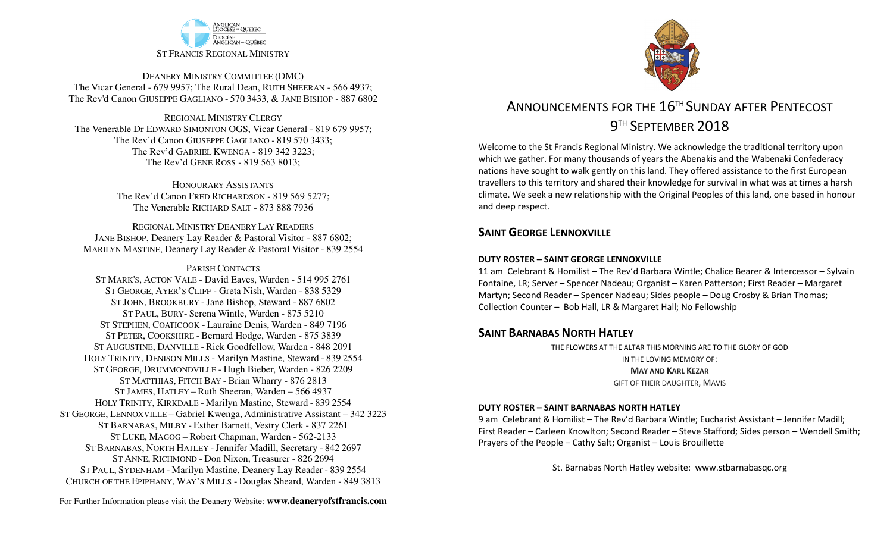

DEANERY MINISTRY COMMITTEE (DMC) The Vicar General - 679 9957; The Rural Dean, RUTH SHEERAN - 566 4937; The Rev'd Canon GIUSEPPE GAGLIANO - <sup>570</sup> 3433, & JANE BISHOP - 887 6802

REGIONAL MINISTRY CLERGY The Venerable Dr EDWARD SIMONTON OGS, Vicar General - 819 679 9957;The Rev'd Canon GIUSEPPE GAGLIANO - <sup>819</sup> <sup>570</sup> 3433; The Rev'd GABRIEL KWENGA - 819 342 3223;The Rev'd GENE ROSS - 819 563 8013;

> HONOURARY ASSISTANTS The Rev'd Canon FRED RICHARDSON - 819 569 5277;The Venerable RICHARD SALT - 873 888 7936

REGIONAL MINISTRY DEANERY LAY READERS JANE BISHOP, Deanery Lay Reader & Pastoral Visitor - 887 6802;MARILYN MASTINE, Deanery Lay Reader & Pastoral Visitor - 839 2554

PARISH CONTACTS

 ST MARK'S, ACTON VALE - David Eaves, Warden - 514 995 2761 ST GEORGE, AYER'S CLIFF - Greta Nish, Warden - 838 5329 ST JOHN, BROOKBURY -Jane Bishop, Steward - 887 6802 ST PAUL, BURY- Serena Wintle, Warden - 875 5210 ST STEPHEN, COATICOOK - Lauraine Denis, Warden - 849 7196 ST PETER, COOKSHIRE - Bernard Hodge, Warden - 875 3839 ST AUGUSTINE, DANVILLE - Rick Goodfellow, Warden - 848 2091 HOLY TRINITY, DENISON MILLS - Marilyn Mastine, Steward - <sup>839</sup> <sup>2554</sup> ST GEORGE, DRUMMONDVILLE - Hugh Bieber, Warden - 826 2209 ST MATTHIAS, FITCH BAY - Brian Wharry - 876 2813 ST JAMES, HATLEY – Ruth Sheeran, Warden – 566 4937 HOLY TRINITY, KIRKDALE - Marilyn Mastine, Steward - <sup>839</sup> <sup>2554</sup> ST GEORGE, LENNOXVILLE – Gabriel Kwenga, Administrative Assistant – 342 3223 ST BARNABAS, MILBY - Esther Barnett, Vestry Clerk - 837 2261 ST LUKE, MAGOG – Robert Chapman, Warden - 562-2133 ST BARNABAS, NORTH HATLEY -Jennifer Madill, Secretary - <sup>842</sup> <sup>2697</sup> ST ANNE, RICHMOND - Don Nixon, Treasurer - 826 <sup>2694</sup> ST PAUL, SYDENHAM - Marilyn Mastine, Deanery Lay Reader - <sup>839</sup> <sup>2554</sup> CHURCH OF THE EPIPHANY, WAY'S MILLS - Douglas Sheard, Warden - 849 3813



# ANNOUNCEMENTS FOR THE 16<sup>TH</sup> SUNDAY AFTER PENTECOST 9<sup>TH</sup> SEPTEMBER 2018

Welcome to the St Francis Regional Ministry. We acknowledge the traditional territory upon which we gather. For many thousands of years the Abenakis and the Wabenaki Confederacy nations have sought to walk gently on this land. They offered assistance to the first European travellers to this territory and shared their knowledge for survival in what was at times a harsh climate. We seek a new relationship with the Original Peoples of this land, one based in honour and deep respect.

### **SAINT GFORGE LENNOXVILLE**

#### **DUTY ROSTER – SAINT GEORGE LENNOXVILLE**

11 am Celebrant & Homilist – The Rev'd Barbara Wintle; Chalice Bearer & Intercessor – Sylvain Fontaine, LR; Server – Spencer Nadeau; Organist – Karen Patterson; First Reader – Margaret Martyn; Second Reader – Spencer Nadeau; Sides people – Doug Crosby & Brian Thomas; Collection Counter – Bob Hall, LR & Margaret Hall; No Fellowship

### **SAINT BARNABAS NORTH HATLEY**

 THE FLOWERS AT THE ALTAR THIS MORNING ARE TO THE GLORY OF GODIN THE LOVING MEMORY OF: **MAY AND KARL KEZAR**GIFT OF THEIR DAUGHTER, MAVIS

#### **DUTY ROSTER – SAINT BARNABAS NORTH HATLEY**

9 am Celebrant & Homilist – The Rev'd Barbara Wintle; Eucharist Assistant – Jennifer Madill; First Reader – Carleen Knowlton; Second Reader – Steve Stafford; Sides person – Wendell Smith; Prayers of the People – Cathy Salt; Organist – Louis Brouillette

St. Barnabas North Hatley website: www.stbarnabasqc.org

For Further Information please visit the Deanery Website: **www.deaneryofstfrancis.com**